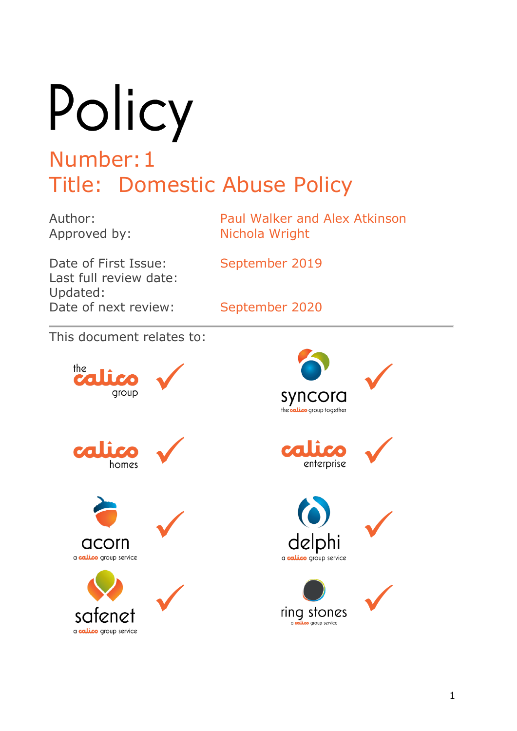Policy Number:1

# Title: Domestic Abuse Policy

Author: Paul Walker and Alex Atkinson Approved by: Nichola Wright

Date of First Issue: September 2019 Last full review date: Updated: Date of next review: September 2020

This document relates to:

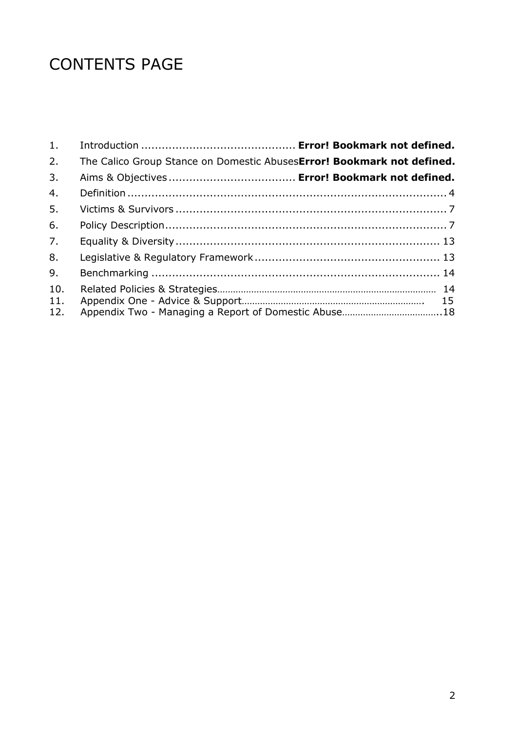## CONTENTS PAGE

| 1.                |                                                                        |  |
|-------------------|------------------------------------------------------------------------|--|
| 2.                | The Calico Group Stance on Domestic AbusesError! Bookmark not defined. |  |
| 3.                |                                                                        |  |
| 4.                |                                                                        |  |
| 5 <sub>1</sub>    |                                                                        |  |
| 6.                |                                                                        |  |
| 7.                |                                                                        |  |
| 8.                |                                                                        |  |
| 9.                |                                                                        |  |
| 10.<br>11.<br>12. | Appendix Two - Managing a Report of Domestic Abuse18                   |  |
|                   |                                                                        |  |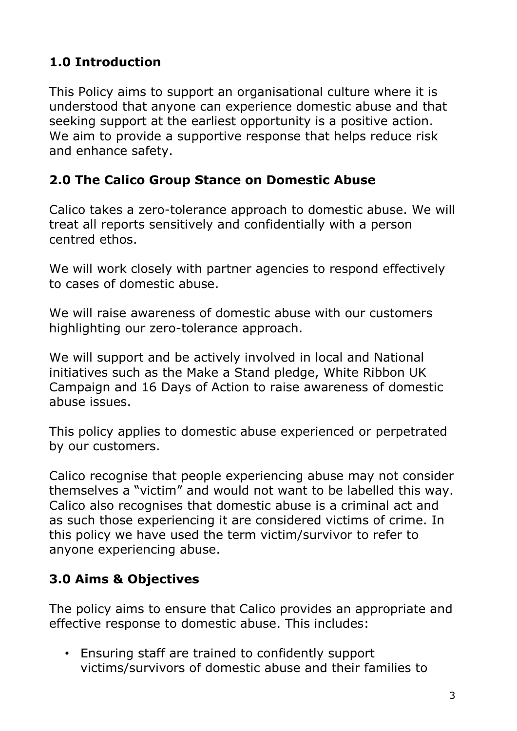## **1.0 Introduction**

This Policy aims to support an organisational culture where it is understood that anyone can experience domestic abuse and that seeking support at the earliest opportunity is a positive action. We aim to provide a supportive response that helps reduce risk and enhance safety.

#### **2.0 The Calico Group Stance on Domestic Abuse**

Calico takes a zero-tolerance approach to domestic abuse. We will treat all reports sensitively and confidentially with a person centred ethos.

We will work closely with partner agencies to respond effectively to cases of domestic abuse.

We will raise awareness of domestic abuse with our customers highlighting our zero-tolerance approach.

We will support and be actively involved in local and National initiatives such as the Make a Stand pledge, White Ribbon UK Campaign and 16 Days of Action to raise awareness of domestic abuse issues.

This policy applies to domestic abuse experienced or perpetrated by our customers.

Calico recognise that people experiencing abuse may not consider themselves a "victim" and would not want to be labelled this way. Calico also recognises that domestic abuse is a criminal act and as such those experiencing it are considered victims of crime. In this policy we have used the term victim/survivor to refer to anyone experiencing abuse.

## **3.0 Aims & Objectives**

The policy aims to ensure that Calico provides an appropriate and effective response to domestic abuse. This includes:

• Ensuring staff are trained to confidently support victims/survivors of domestic abuse and their families to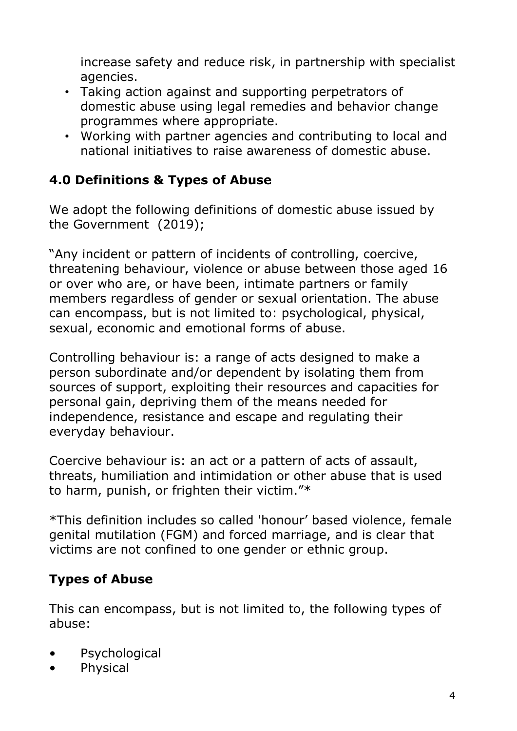increase safety and reduce risk, in partnership with specialist agencies.

- Taking action against and supporting perpetrators of domestic abuse using legal remedies and behavior change programmes where appropriate.
- Working with partner agencies and contributing to local and national initiatives to raise awareness of domestic abuse.

## **4.0 Definitions & Types of Abuse**

We adopt the following definitions of domestic abuse issued by the Government (2019);

"Any incident or pattern of incidents of controlling, coercive, threatening behaviour, violence or abuse between those aged 16 or over who are, or have been, intimate partners or family members regardless of gender or sexual orientation. The abuse can encompass, but is not limited to: psychological, physical, sexual, economic and emotional forms of abuse.

Controlling behaviour is: a range of acts designed to make a person subordinate and/or dependent by isolating them from sources of support, exploiting their resources and capacities for personal gain, depriving them of the means needed for independence, resistance and escape and regulating their everyday behaviour.

Coercive behaviour is: an act or a pattern of acts of assault, threats, humiliation and intimidation or other abuse that is used to harm, punish, or frighten their victim."\*

\*This definition includes so called 'honour" based violence, female genital mutilation (FGM) and forced marriage, and is clear that victims are not confined to one gender or ethnic group.

## **Types of Abuse**

This can encompass, but is not limited to, the following types of abuse:

- Psychological
- Physical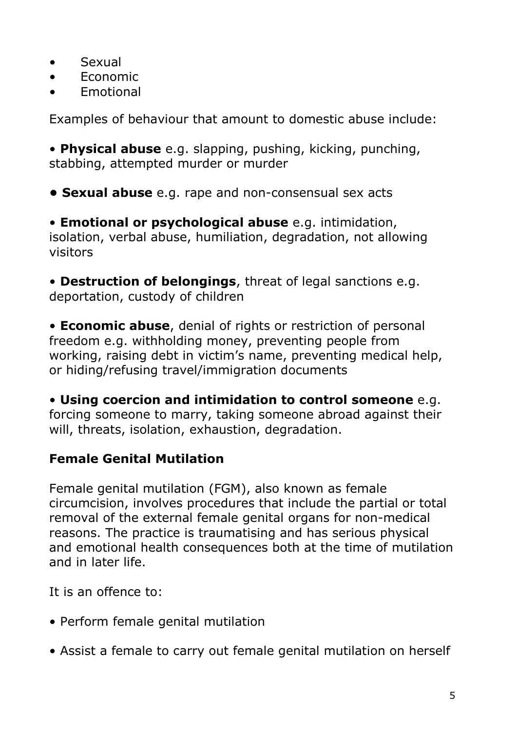- Sexual
- Economic
- Emotional

Examples of behaviour that amount to domestic abuse include:

• **Physical abuse** e.g. slapping, pushing, kicking, punching, stabbing, attempted murder or murder

**• Sexual abuse** e.g. rape and non-consensual sex acts

• **Emotional or psychological abuse** e.g. intimidation, isolation, verbal abuse, humiliation, degradation, not allowing visitors

• **Destruction of belongings**, threat of legal sanctions e.g. deportation, custody of children

• **Economic abuse**, denial of rights or restriction of personal freedom e.g. withholding money, preventing people from working, raising debt in victim's name, preventing medical help, or hiding/refusing travel/immigration documents

• **Using coercion and intimidation to control someone** e.g. forcing someone to marry, taking someone abroad against their will, threats, isolation, exhaustion, degradation.

## **Female Genital Mutilation**

Female genital mutilation (FGM), also known as female circumcision, involves procedures that include the partial or total removal of the external female genital organs for non-medical reasons. The practice is traumatising and has serious physical and emotional health consequences both at the time of mutilation and in later life.

It is an offence to:

- Perform female genital mutilation
- Assist a female to carry out female genital mutilation on herself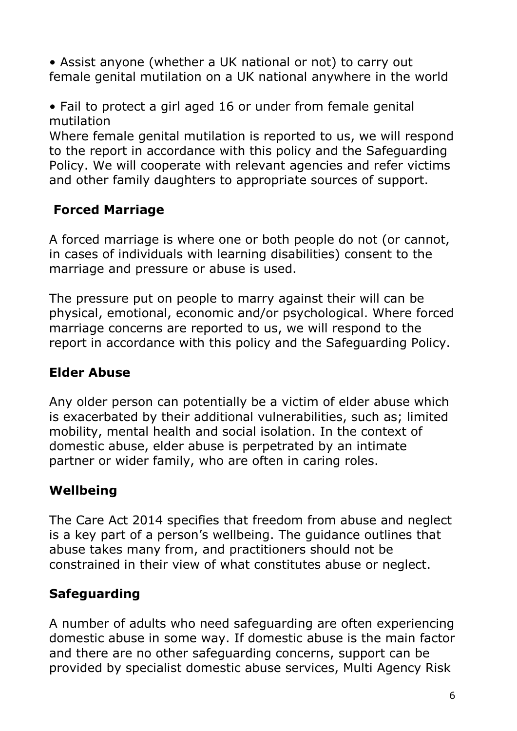• Assist anyone (whether a UK national or not) to carry out female genital mutilation on a UK national anywhere in the world

• Fail to protect a girl aged 16 or under from female genital mutilation

Where female genital mutilation is reported to us, we will respond to the report in accordance with this policy and the Safeguarding Policy. We will cooperate with relevant agencies and refer victims and other family daughters to appropriate sources of support.

## **Forced Marriage**

A forced marriage is where one or both people do not (or cannot, in cases of individuals with learning disabilities) consent to the marriage and pressure or abuse is used.

The pressure put on people to marry against their will can be physical, emotional, economic and/or psychological. Where forced marriage concerns are reported to us, we will respond to the report in accordance with this policy and the Safeguarding Policy.

#### **Elder Abuse**

Any older person can potentially be a victim of elder abuse which is exacerbated by their additional vulnerabilities, such as; limited mobility, mental health and social isolation. In the context of domestic abuse, elder abuse is perpetrated by an intimate partner or wider family, who are often in caring roles.

## **Wellbeing**

The Care Act 2014 specifies that freedom from abuse and neglect is a key part of a person"s wellbeing. The guidance outlines that abuse takes many from, and practitioners should not be constrained in their view of what constitutes abuse or neglect.

## **Safeguarding**

A number of adults who need safeguarding are often experiencing domestic abuse in some way. If domestic abuse is the main factor and there are no other safeguarding concerns, support can be provided by specialist domestic abuse services, Multi Agency Risk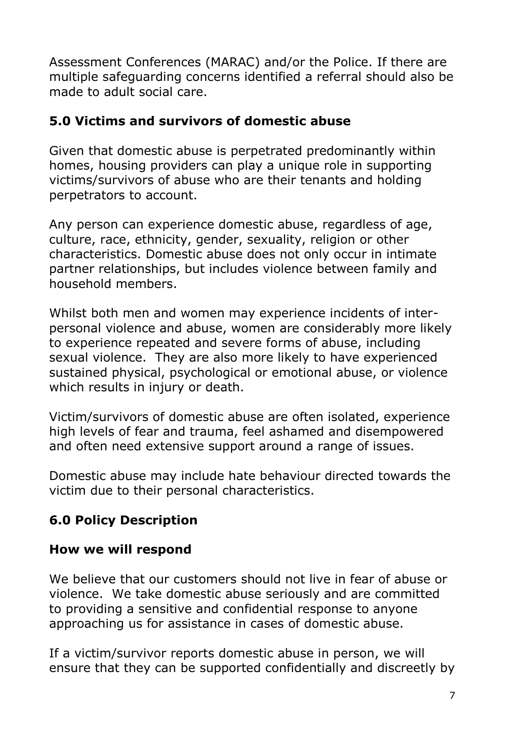Assessment Conferences (MARAC) and/or the Police. If there are multiple safeguarding concerns identified a referral should also be made to adult social care.

#### **5.0 Victims and survivors of domestic abuse**

Given that domestic abuse is perpetrated predominantly within homes, housing providers can play a unique role in supporting victims/survivors of abuse who are their tenants and holding perpetrators to account.

Any person can experience domestic abuse, regardless of age, culture, race, ethnicity, gender, sexuality, religion or other characteristics. Domestic abuse does not only occur in intimate partner relationships, but includes violence between family and household members.

Whilst both men and women may experience incidents of interpersonal violence and abuse, women are considerably more likely to experience repeated and severe forms of abuse, including sexual violence. They are also more likely to have experienced sustained physical, psychological or emotional abuse, or violence which results in injury or death.

Victim/survivors of domestic abuse are often isolated, experience high levels of fear and trauma, feel ashamed and disempowered and often need extensive support around a range of issues.

Domestic abuse may include hate behaviour directed towards the victim due to their personal characteristics.

## **6.0 Policy Description**

#### **How we will respond**

We believe that our customers should not live in fear of abuse or violence. We take domestic abuse seriously and are committed to providing a sensitive and confidential response to anyone approaching us for assistance in cases of domestic abuse.

If a victim/survivor reports domestic abuse in person, we will ensure that they can be supported confidentially and discreetly by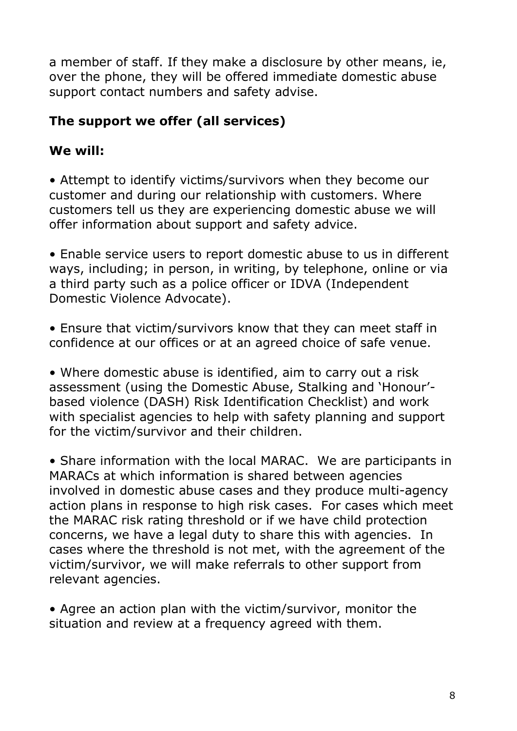a member of staff. If they make a disclosure by other means, ie, over the phone, they will be offered immediate domestic abuse support contact numbers and safety advise.

## **The support we offer (all services)**

## **We will:**

• Attempt to identify victims/survivors when they become our customer and during our relationship with customers. Where customers tell us they are experiencing domestic abuse we will offer information about support and safety advice.

• Enable service users to report domestic abuse to us in different ways, including; in person, in writing, by telephone, online or via a third party such as a police officer or IDVA (Independent Domestic Violence Advocate).

• Ensure that victim/survivors know that they can meet staff in confidence at our offices or at an agreed choice of safe venue.

• Where domestic abuse is identified, aim to carry out a risk assessment (using the Domestic Abuse, Stalking and "Honour" based violence (DASH) Risk Identification Checklist) and work with specialist agencies to help with safety planning and support for the victim/survivor and their children.

• Share information with the local MARAC. We are participants in MARACs at which information is shared between agencies involved in domestic abuse cases and they produce multi-agency action plans in response to high risk cases. For cases which meet the MARAC risk rating threshold or if we have child protection concerns, we have a legal duty to share this with agencies. In cases where the threshold is not met, with the agreement of the victim/survivor, we will make referrals to other support from relevant agencies.

• Agree an action plan with the victim/survivor, monitor the situation and review at a frequency agreed with them.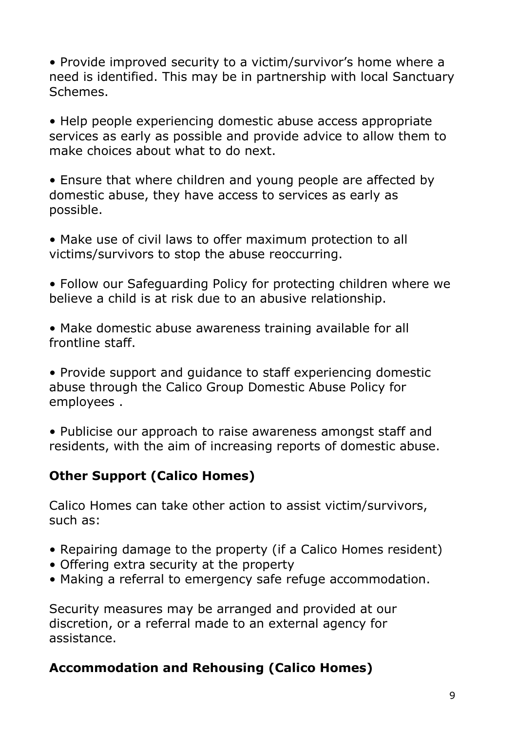• Provide improved security to a victim/survivor's home where a need is identified. This may be in partnership with local Sanctuary Schemes.

• Help people experiencing domestic abuse access appropriate services as early as possible and provide advice to allow them to make choices about what to do next.

• Ensure that where children and young people are affected by domestic abuse, they have access to services as early as possible.

• Make use of civil laws to offer maximum protection to all victims/survivors to stop the abuse reoccurring.

• Follow our Safeguarding Policy for protecting children where we believe a child is at risk due to an abusive relationship.

• Make domestic abuse awareness training available for all frontline staff.

• Provide support and guidance to staff experiencing domestic abuse through the Calico Group Domestic Abuse Policy for employees .

• Publicise our approach to raise awareness amongst staff and residents, with the aim of increasing reports of domestic abuse.

#### **Other Support (Calico Homes)**

Calico Homes can take other action to assist victim/survivors, such as:

- Repairing damage to the property (if a Calico Homes resident)
- Offering extra security at the property
- Making a referral to emergency safe refuge accommodation.

Security measures may be arranged and provided at our discretion, or a referral made to an external agency for assistance.

#### **Accommodation and Rehousing (Calico Homes)**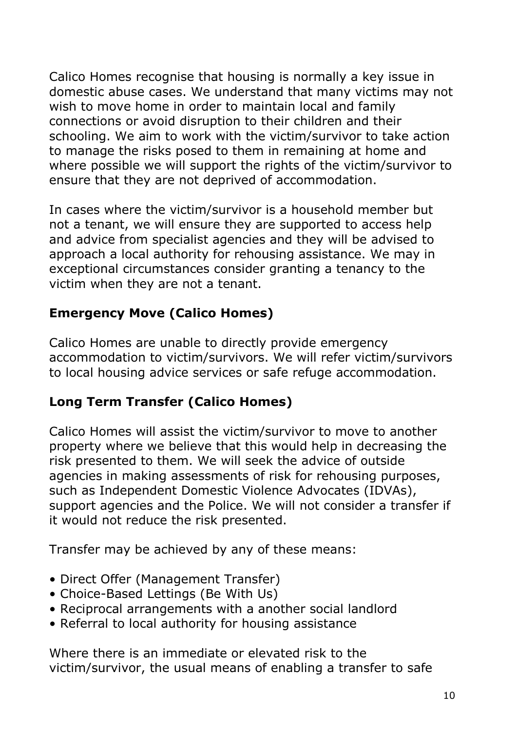Calico Homes recognise that housing is normally a key issue in domestic abuse cases. We understand that many victims may not wish to move home in order to maintain local and family connections or avoid disruption to their children and their schooling. We aim to work with the victim/survivor to take action to manage the risks posed to them in remaining at home and where possible we will support the rights of the victim/survivor to ensure that they are not deprived of accommodation.

In cases where the victim/survivor is a household member but not a tenant, we will ensure they are supported to access help and advice from specialist agencies and they will be advised to approach a local authority for rehousing assistance. We may in exceptional circumstances consider granting a tenancy to the victim when they are not a tenant.

#### **Emergency Move (Calico Homes)**

Calico Homes are unable to directly provide emergency accommodation to victim/survivors. We will refer victim/survivors to local housing advice services or safe refuge accommodation.

#### **Long Term Transfer (Calico Homes)**

Calico Homes will assist the victim/survivor to move to another property where we believe that this would help in decreasing the risk presented to them. We will seek the advice of outside agencies in making assessments of risk for rehousing purposes, such as Independent Domestic Violence Advocates (IDVAs), support agencies and the Police. We will not consider a transfer if it would not reduce the risk presented.

Transfer may be achieved by any of these means:

- Direct Offer (Management Transfer)
- Choice-Based Lettings (Be With Us)
- Reciprocal arrangements with a another social landlord
- Referral to local authority for housing assistance

Where there is an immediate or elevated risk to the victim/survivor, the usual means of enabling a transfer to safe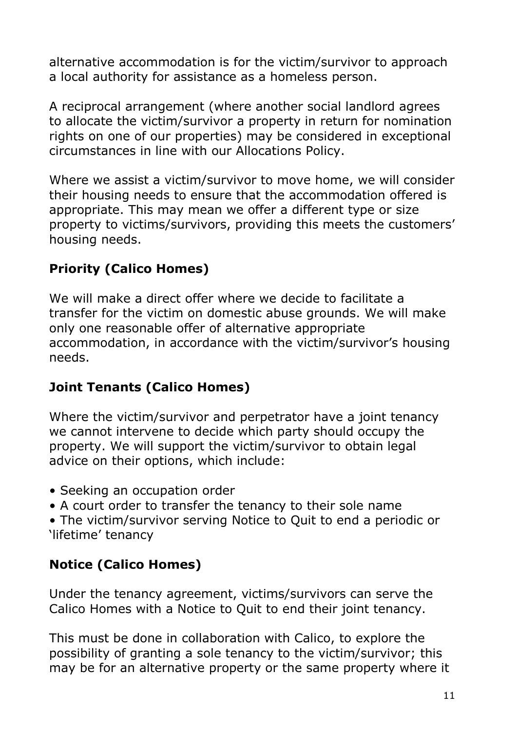alternative accommodation is for the victim/survivor to approach a local authority for assistance as a homeless person.

A reciprocal arrangement (where another social landlord agrees to allocate the victim/survivor a property in return for nomination rights on one of our properties) may be considered in exceptional circumstances in line with our Allocations Policy.

Where we assist a victim/survivor to move home, we will consider their housing needs to ensure that the accommodation offered is appropriate. This may mean we offer a different type or size property to victims/survivors, providing this meets the customers" housing needs.

## **Priority (Calico Homes)**

We will make a direct offer where we decide to facilitate a transfer for the victim on domestic abuse grounds. We will make only one reasonable offer of alternative appropriate accommodation, in accordance with the victim/survivor's housing needs.

#### **Joint Tenants (Calico Homes)**

Where the victim/survivor and perpetrator have a joint tenancy we cannot intervene to decide which party should occupy the property. We will support the victim/survivor to obtain legal advice on their options, which include:

- Seeking an occupation order
- A court order to transfer the tenancy to their sole name

• The victim/survivor serving Notice to Quit to end a periodic or 'lifetime' tenancy

## **Notice (Calico Homes)**

Under the tenancy agreement, victims/survivors can serve the Calico Homes with a Notice to Quit to end their joint tenancy.

This must be done in collaboration with Calico, to explore the possibility of granting a sole tenancy to the victim/survivor; this may be for an alternative property or the same property where it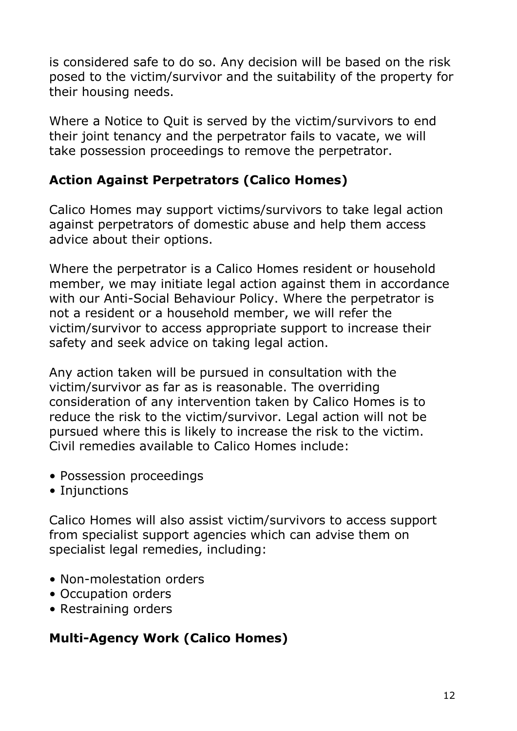is considered safe to do so. Any decision will be based on the risk posed to the victim/survivor and the suitability of the property for their housing needs.

Where a Notice to Quit is served by the victim/survivors to end their joint tenancy and the perpetrator fails to vacate, we will take possession proceedings to remove the perpetrator.

## **Action Against Perpetrators (Calico Homes)**

Calico Homes may support victims/survivors to take legal action against perpetrators of domestic abuse and help them access advice about their options.

Where the perpetrator is a Calico Homes resident or household member, we may initiate legal action against them in accordance with our Anti-Social Behaviour Policy. Where the perpetrator is not a resident or a household member, we will refer the victim/survivor to access appropriate support to increase their safety and seek advice on taking legal action.

Any action taken will be pursued in consultation with the victim/survivor as far as is reasonable. The overriding consideration of any intervention taken by Calico Homes is to reduce the risk to the victim/survivor. Legal action will not be pursued where this is likely to increase the risk to the victim. Civil remedies available to Calico Homes include:

- Possession proceedings
- Injunctions

Calico Homes will also assist victim/survivors to access support from specialist support agencies which can advise them on specialist legal remedies, including:

- Non-molestation orders
- Occupation orders
- Restraining orders

## **Multi-Agency Work (Calico Homes)**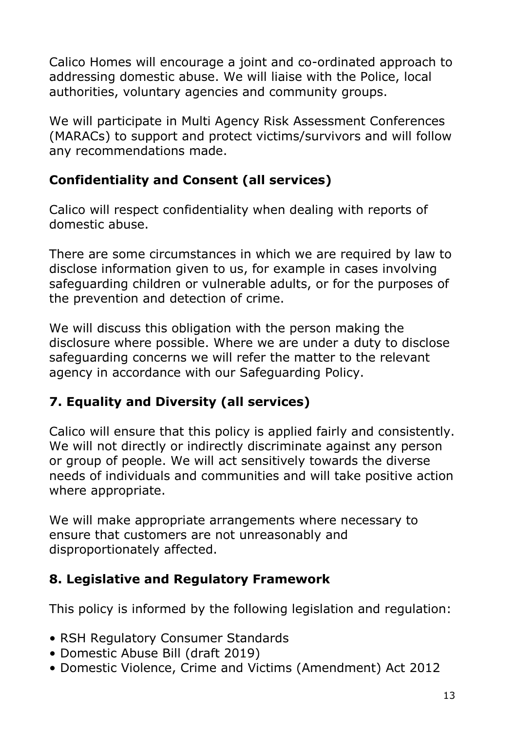Calico Homes will encourage a joint and co-ordinated approach to addressing domestic abuse. We will liaise with the Police, local authorities, voluntary agencies and community groups.

We will participate in Multi Agency Risk Assessment Conferences (MARACs) to support and protect victims/survivors and will follow any recommendations made.

## **Confidentiality and Consent (all services)**

Calico will respect confidentiality when dealing with reports of domestic abuse.

There are some circumstances in which we are required by law to disclose information given to us, for example in cases involving safeguarding children or vulnerable adults, or for the purposes of the prevention and detection of crime.

We will discuss this obligation with the person making the disclosure where possible. Where we are under a duty to disclose safeguarding concerns we will refer the matter to the relevant agency in accordance with our Safeguarding Policy.

## **7. Equality and Diversity (all services)**

Calico will ensure that this policy is applied fairly and consistently. We will not directly or indirectly discriminate against any person or group of people. We will act sensitively towards the diverse needs of individuals and communities and will take positive action where appropriate.

We will make appropriate arrangements where necessary to ensure that customers are not unreasonably and disproportionately affected.

#### **8. Legislative and Regulatory Framework**

This policy is informed by the following legislation and regulation:

- RSH Regulatory Consumer Standards
- Domestic Abuse Bill (draft 2019)
- Domestic Violence, Crime and Victims (Amendment) Act 2012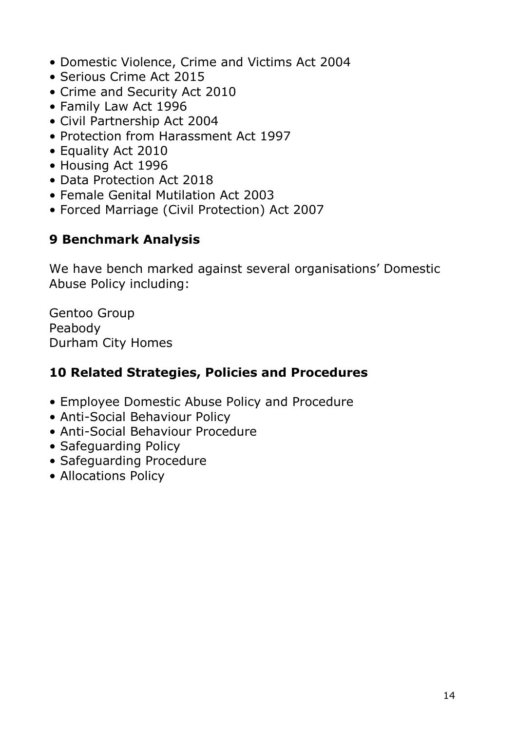- Domestic Violence, Crime and Victims Act 2004
- Serious Crime Act 2015
- Crime and Security Act 2010
- Family Law Act 1996
- Civil Partnership Act 2004
- Protection from Harassment Act 1997
- Equality Act 2010
- Housing Act 1996
- Data Protection Act 2018
- Female Genital Mutilation Act 2003
- Forced Marriage (Civil Protection) Act 2007

## **9 Benchmark Analysis**

We have bench marked against several organisations' Domestic Abuse Policy including:

Gentoo Group Peabody Durham City Homes

#### **10 Related Strategies, Policies and Procedures**

- Employee Domestic Abuse Policy and Procedure
- Anti-Social Behaviour Policy
- Anti-Social Behaviour Procedure
- Safeguarding Policy
- Safeguarding Procedure
- Allocations Policy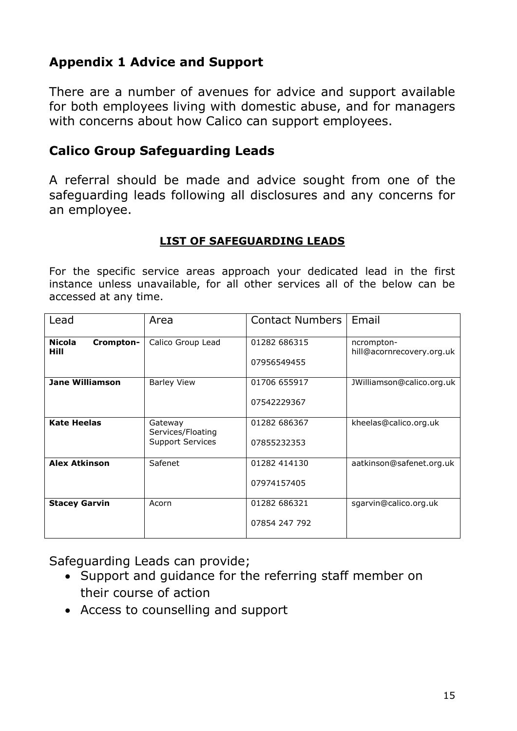#### **Appendix 1 Advice and Support**

There are a number of avenues for advice and support available for both employees living with domestic abuse, and for managers with concerns about how Calico can support employees.

#### **Calico Group Safeguarding Leads**

A referral should be made and advice sought from one of the safeguarding leads following all disclosures and any concerns for an employee.

#### **LIST OF SAFEGUARDING LEADS**

For the specific service areas approach your dedicated lead in the first instance unless unavailable, for all other services all of the below can be accessed at any time.

| Lead                               | Area                                                    | <b>Contact Numbers</b>        | Email                                   |
|------------------------------------|---------------------------------------------------------|-------------------------------|-----------------------------------------|
| <b>Nicola</b><br>Crompton-<br>Hill | Calico Group Lead                                       | 01282 686315<br>07956549455   | ncrompton-<br>hill@acornrecovery.org.uk |
| <b>Jane Williamson</b>             | <b>Barley View</b>                                      | 01706 655917<br>07542229367   | JWilliamson@calico.org.uk               |
| <b>Kate Heelas</b>                 | Gateway<br>Services/Floating<br><b>Support Services</b> | 01282 686367<br>07855232353   | kheelas@calico.org.uk                   |
| <b>Alex Atkinson</b>               | Safenet                                                 | 01282 414130<br>07974157405   | aatkinson@safenet.org.uk                |
| <b>Stacey Garvin</b>               | Acorn                                                   | 01282 686321<br>07854 247 792 | sgarvin@calico.org.uk                   |

Safeguarding Leads can provide;

- Support and guidance for the referring staff member on their course of action
- Access to counselling and support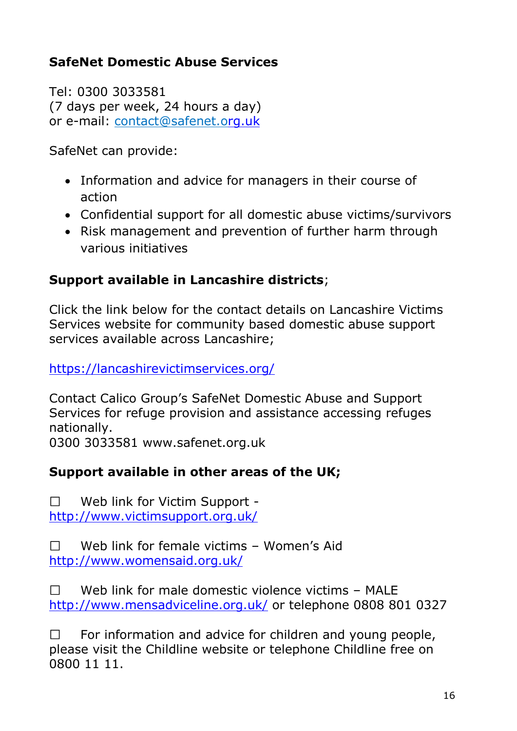## **SafeNet Domestic Abuse Services**

Tel: 0300 3033581 (7 days per week, 24 hours a day) or e-mail: [contact@safenet.org.uk](mailto:contact@safenet.org.uk)

SafeNet can provide:

- Information and advice for managers in their course of action
- Confidential support for all domestic abuse victims/survivors
- Risk management and prevention of further harm through various initiatives

#### **Support available in Lancashire districts**;

Click the link below for the contact details on Lancashire Victims Services website for community based domestic abuse support services available across Lancashire;

<https://lancashirevictimservices.org/>

Contact Calico Group"s SafeNet Domestic Abuse and Support Services for refuge provision and assistance accessing refuges nationally.

0300 3033581 www.safenet.org.uk

#### **Support available in other areas of the UK;**

Web link for Victim Support -  $\Box$ <http://www.victimsupport.org.uk/>

 $\Box$ Web link for female victims - Women's Aid <http://www.womensaid.org.uk/>

 $\Box$ Web link for male domestic violence victims – MALE <http://www.mensadviceline.org.uk/> or telephone 0808 801 0327

 $\Box$ For information and advice for children and young people, please visit the Childline website or telephone Childline free on 0800 11 11.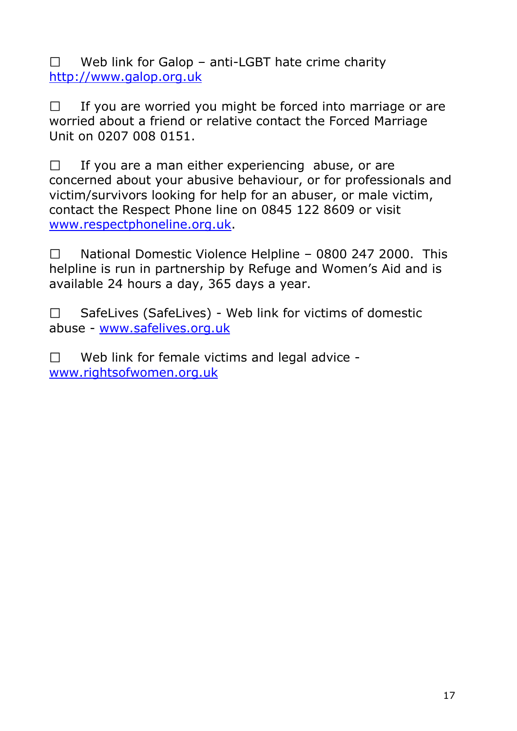$\Box$ Web link for Galop – anti-LGBT hate crime charity [http://www.galop.org.uk](http://www.galop.org.uk/)

If you are worried you might be forced into marriage or are  $\Box$ worried about a friend or relative contact the Forced Marriage Unit on 0207 008 0151.

 $\Box$ If you are a man either experiencing abuse, or are concerned about your abusive behaviour, or for professionals and victim/survivors looking for help for an abuser, or male victim, contact the Respect Phone line on 0845 122 8609 or visit [www.respectphoneline.org.uk.](http://www.respectphoneline.org.uk/)

 $\Box$ National Domestic Violence Helpline – 0800 247 2000. This helpline is run in partnership by Refuge and Women's Aid and is available 24 hours a day, 365 days a year.

SafeLives (SafeLives) - Web link for victims of domestic  $\Box$ abuse - [www.safelives.org.uk](http://www.safelives.org.uk/)

Web link for female victims and legal advice -  $\Box$ [www.rightsofwomen.org.uk](http://www.rightsofwomen.org.uk/)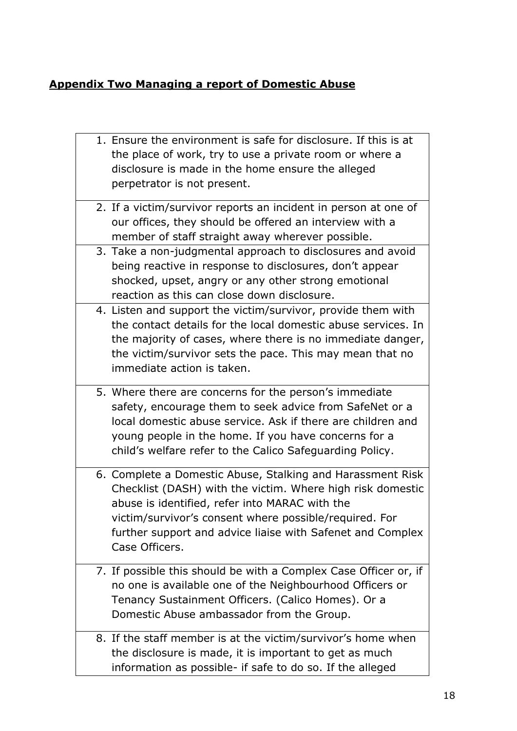#### **Appendix Two Managing a report of Domestic Abuse**

| 1. Ensure the environment is safe for disclosure. If this is at<br>the place of work, try to use a private room or where a<br>disclosure is made in the home ensure the alleged<br>perpetrator is not present.                                                                                                       |
|----------------------------------------------------------------------------------------------------------------------------------------------------------------------------------------------------------------------------------------------------------------------------------------------------------------------|
| 2. If a victim/survivor reports an incident in person at one of<br>our offices, they should be offered an interview with a<br>member of staff straight away wherever possible.                                                                                                                                       |
| 3. Take a non-judgmental approach to disclosures and avoid<br>being reactive in response to disclosures, don't appear<br>shocked, upset, angry or any other strong emotional<br>reaction as this can close down disclosure.                                                                                          |
| 4. Listen and support the victim/survivor, provide them with<br>the contact details for the local domestic abuse services. In<br>the majority of cases, where there is no immediate danger,<br>the victim/survivor sets the pace. This may mean that no<br>immediate action is taken.                                |
| 5. Where there are concerns for the person's immediate<br>safety, encourage them to seek advice from SafeNet or a<br>local domestic abuse service. Ask if there are children and<br>young people in the home. If you have concerns for a<br>child's welfare refer to the Calico Safeguarding Policy.                 |
| 6. Complete a Domestic Abuse, Stalking and Harassment Risk<br>Checklist (DASH) with the victim. Where high risk domestic<br>abuse is identified, refer into MARAC with the<br>victim/survivor's consent where possible/required. For<br>further support and advice liaise with Safenet and Complex<br>Case Officers. |
| 7. If possible this should be with a Complex Case Officer or, if<br>no one is available one of the Neighbourhood Officers or<br>Tenancy Sustainment Officers. (Calico Homes). Or a<br>Domestic Abuse ambassador from the Group.                                                                                      |
| 8. If the staff member is at the victim/survivor's home when<br>the disclosure is made, it is important to get as much<br>information as possible- if safe to do so. If the alleged                                                                                                                                  |